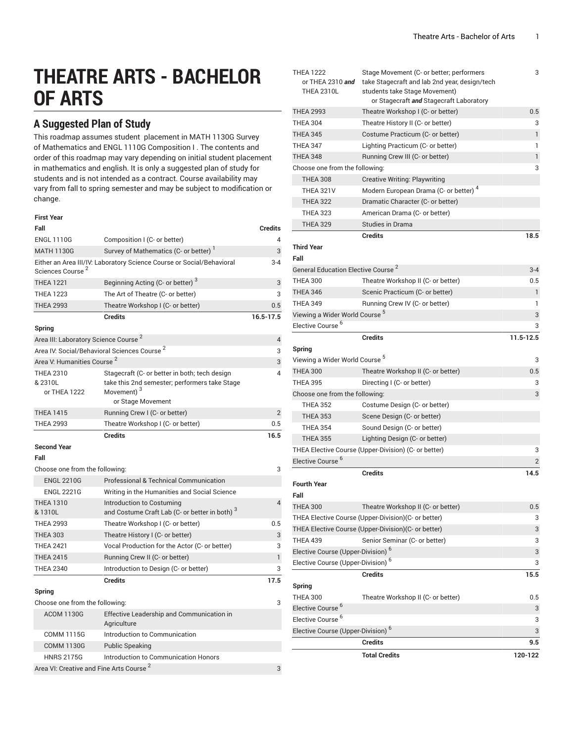# **THEATRE ARTS - BACHELOR OF ARTS**

# **A Suggested Plan of Study**

This roadmap assumes student placement in MATH 1130G Survey of Mathematics and ENGL 1110G Composition I . The contents and order of this roadmap may vary depending on initial student placement in mathematics and english. It is only a suggested plan of study for students and is not intended as a contract. Course availability may vary from fall to spring semester and may be subject to modification or change.

| <b>First Year</b>                                   |                                                                                                                                               |                |
|-----------------------------------------------------|-----------------------------------------------------------------------------------------------------------------------------------------------|----------------|
| Fall                                                |                                                                                                                                               | <b>Credits</b> |
| <b>ENGL 1110G</b>                                   | Composition I (C- or better)                                                                                                                  | 4              |
| <b>MATH 1130G</b>                                   | Survey of Mathematics (C- or better)                                                                                                          | 3              |
| Sciences Course <sup>2</sup>                        | Either an Area III/IV: Laboratory Science Course or Social/Behavioral                                                                         | $3 - 4$        |
| <b>THEA 1221</b>                                    | Beginning Acting (C- or better) <sup>3</sup>                                                                                                  | 3              |
| <b>THEA 1223</b>                                    | The Art of Theatre (C- or better)                                                                                                             | 3              |
| <b>THEA 2993</b>                                    | Theatre Workshop I (C- or better)                                                                                                             | 0.5            |
| <b>Spring</b>                                       | <b>Credits</b>                                                                                                                                | 16.5-17.5      |
| Area III: Laboratory Science Course <sup>2</sup>    |                                                                                                                                               | $\overline{4}$ |
|                                                     | Area IV: Social/Behavioral Sciences Course <sup>2</sup>                                                                                       | 3              |
| Area V: Humanities Course <sup>2</sup>              |                                                                                                                                               | 3              |
| <b>THEA 2310</b><br>& 2310L<br>or THEA 1222         | Stagecraft (C- or better in both; tech design<br>take this 2nd semester; performers take Stage<br>Movement) <sup>3</sup><br>or Stage Movement | 4              |
| <b>THEA 1415</b>                                    | Running Crew I (C- or better)                                                                                                                 | $\overline{2}$ |
| <b>THEA 2993</b>                                    | Theatre Workshop I (C- or better)                                                                                                             | 0.5            |
|                                                     | <b>Credits</b>                                                                                                                                | 16.5           |
| <b>Second Year</b>                                  |                                                                                                                                               |                |
| Fall                                                |                                                                                                                                               |                |
| Choose one from the following:                      |                                                                                                                                               | 3              |
| <b>ENGL 2210G</b>                                   | Professional & Technical Communication                                                                                                        |                |
| <b>ENGL 2221G</b>                                   | Writing in the Humanities and Social Science                                                                                                  |                |
| <b>THEA 1310</b><br>& 1310L                         | Introduction to Costuming<br>and Costume Craft Lab (C- or better in both) <sup>3</sup>                                                        | $\overline{4}$ |
| <b>THEA 2993</b>                                    | Theatre Workshop I (C- or better)                                                                                                             | 0.5            |
| <b>THEA 303</b>                                     | Theatre History I (C- or better)                                                                                                              | 3              |
| <b>THEA 2421</b>                                    | Vocal Production for the Actor (C- or better)                                                                                                 | 3              |
| <b>THEA 2415</b>                                    | Running Crew II (C- or better)                                                                                                                | $\mathbf{1}$   |
| <b>THEA 2340</b>                                    | Introduction to Design (C- or better)                                                                                                         | 3              |
|                                                     | <b>Credits</b>                                                                                                                                | 17.5           |
| Spring                                              |                                                                                                                                               |                |
| Choose one from the following:                      |                                                                                                                                               | 3              |
| <b>ACOM 1130G</b>                                   | Effective Leadership and Communication in<br>Agriculture                                                                                      |                |
| <b>COMM 1115G</b>                                   | Introduction to Communication                                                                                                                 |                |
| <b>COMM 1130G</b>                                   | <b>Public Speaking</b>                                                                                                                        |                |
| <b>HNRS 2175G</b>                                   | Introduction to Communication Honors                                                                                                          |                |
| Area VI: Creative and Fine Arts Course <sup>2</sup> |                                                                                                                                               | 3              |

| THEA 1222<br>or THEA 2310 and<br><b>THEA 2310L</b>        | Stage Movement (C- or better; performers<br>take Stagecraft and lab 2nd year, design/tech<br>students take Stage Movement)<br>or Stagecraft and Stagecraft Laboratory | 3         |  |
|-----------------------------------------------------------|-----------------------------------------------------------------------------------------------------------------------------------------------------------------------|-----------|--|
| <b>THEA 2993</b>                                          | Theatre Workshop I (C- or better)                                                                                                                                     | 0.5       |  |
| <b>THEA 304</b>                                           | Theatre History II (C- or better)                                                                                                                                     | 3         |  |
| <b>THEA 345</b>                                           | Costume Practicum (C- or better)                                                                                                                                      | 1         |  |
| <b>THEA 347</b>                                           | Lighting Practicum (C- or better)                                                                                                                                     | 1         |  |
| <b>THEA 348</b>                                           | Running Crew III (C- or better)                                                                                                                                       | 1         |  |
| Choose one from the following:                            |                                                                                                                                                                       |           |  |
| <b>THEA 308</b>                                           | <b>Creative Writing: Playwriting</b>                                                                                                                                  |           |  |
| <b>THEA 321V</b>                                          | Modern European Drama (C- or better) <sup>4</sup>                                                                                                                     |           |  |
| <b>THEA 322</b>                                           | Dramatic Character (C- or better)                                                                                                                                     |           |  |
| <b>THEA 323</b>                                           | American Drama (C- or better)                                                                                                                                         |           |  |
| <b>THEA 329</b>                                           | Studies in Drama                                                                                                                                                      |           |  |
|                                                           | <b>Credits</b>                                                                                                                                                        | 18.5      |  |
| <b>Third Year</b><br>Fall                                 |                                                                                                                                                                       |           |  |
| General Education Elective Course <sup>2</sup>            |                                                                                                                                                                       | $3 - 4$   |  |
| <b>THEA 300</b>                                           | Theatre Workshop II (C- or better)                                                                                                                                    | 0.5       |  |
| <b>THEA 346</b>                                           | Scenic Practicum (C- or better)                                                                                                                                       | 1         |  |
| <b>THEA 349</b>                                           | Running Crew IV (C- or better)                                                                                                                                        | 1         |  |
| Viewing a Wider World Course <sup>5</sup>                 |                                                                                                                                                                       | 3         |  |
| Elective Course <sup>6</sup>                              |                                                                                                                                                                       | 3         |  |
|                                                           | <b>Credits</b>                                                                                                                                                        | 11.5-12.5 |  |
| Spring                                                    |                                                                                                                                                                       |           |  |
| Viewing a Wider World Course <sup>5</sup>                 |                                                                                                                                                                       | 3         |  |
| <b>THEA 300</b>                                           | Theatre Workshop II (C- or better)                                                                                                                                    | 0.5       |  |
| <b>THEA 395</b>                                           | Directing I (C- or better)                                                                                                                                            | 3         |  |
| Choose one from the following:                            |                                                                                                                                                                       |           |  |
| <b>THEA 352</b>                                           | Costume Design (C- or better)                                                                                                                                         |           |  |
| <b>THEA 353</b>                                           | Scene Design (C- or better)                                                                                                                                           |           |  |
| <b>THEA 354</b>                                           | Sound Design (C- or better)                                                                                                                                           |           |  |
| <b>THEA 355</b>                                           | Lighting Design (C- or better)                                                                                                                                        |           |  |
| THEA Elective Course (Upper-Division) (C- or better)<br>3 |                                                                                                                                                                       |           |  |
| Elective Course <sup>6</sup>                              |                                                                                                                                                                       | 2         |  |
|                                                           | <b>Credits</b>                                                                                                                                                        | 14.5      |  |
| <b>Fourth Year</b><br>Fall                                |                                                                                                                                                                       |           |  |
| <b>THEA 300</b>                                           | Theatre Workshop II (C- or better)                                                                                                                                    | 0.5       |  |
|                                                           | THEA Elective Course (Upper-Division)(C- or better)                                                                                                                   | 3         |  |
|                                                           | THEA Elective Course (Upper-Division)(C- or better)                                                                                                                   | 3         |  |
| <b>THEA 439</b>                                           | Senior Seminar (C- or better)                                                                                                                                         | 3         |  |
| Elective Course (Upper-Division) <sup>6</sup>             |                                                                                                                                                                       | 3         |  |
| Elective Course (Upper-Division) <sup>6</sup>             |                                                                                                                                                                       | 3         |  |
|                                                           | <b>Credits</b>                                                                                                                                                        | 15.5      |  |
| Spring                                                    |                                                                                                                                                                       |           |  |
| <b>THEA 300</b>                                           | Theatre Workshop II (C- or better)                                                                                                                                    | 0.5       |  |
| Elective Course <sup>o</sup>                              |                                                                                                                                                                       | 3         |  |
| Elective Course <sup>6</sup>                              |                                                                                                                                                                       | 3         |  |
| Elective Course (Upper-Division) <sup>6</sup>             |                                                                                                                                                                       |           |  |
|                                                           | <b>Credits</b>                                                                                                                                                        | 9.5       |  |
|                                                           | <b>Total Credits</b>                                                                                                                                                  | 120-122   |  |